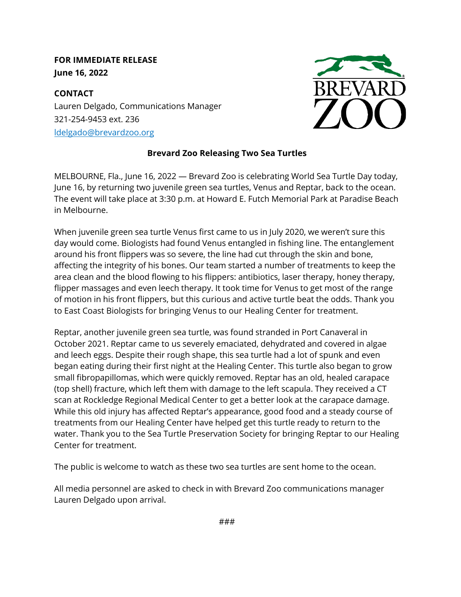## **FOR IMMEDIATE RELEASE June 16, 2022**

**CONTACT** Lauren Delgado, Communications Manager 321-254-9453 ext. 236 [ldelgado@brevardzoo.org](mailto:ldelgado@brevardzoo.org)



## **Brevard Zoo Releasing Two Sea Turtles**

MELBOURNE, Fla., June 16, 2022 — Brevard Zoo is celebrating World Sea Turtle Day today, June 16, by returning two juvenile green sea turtles, Venus and Reptar, back to the ocean. The event will take place at 3:30 p.m. at Howard E. Futch Memorial Park at Paradise Beach in Melbourne.

When juvenile green sea turtle Venus first came to us in July 2020, we weren't sure this day would come. Biologists had found Venus entangled in fishing line. The entanglement around his front flippers was so severe, the line had cut through the skin and bone, affecting the integrity of his bones. Our team started a number of treatments to keep the area clean and the blood flowing to his flippers: antibiotics, laser therapy, honey therapy, flipper massages and even leech therapy. It took time for Venus to get most of the range of motion in his front flippers, but this curious and active turtle beat the odds. Thank you to East Coast Biologists for bringing Venus to our Healing Center for treatment.

Reptar, another juvenile green sea turtle, was found stranded in Port Canaveral in October 2021. Reptar came to us severely emaciated, dehydrated and covered in algae and leech eggs. Despite their rough shape, this sea turtle had a lot of spunk and even began eating during their first night at the Healing Center. This turtle also began to grow small fibropapillomas, which were quickly removed. Reptar has an old, healed carapace (top shell) fracture, which left them with damage to the left scapula. They received a CT scan at Rockledge Regional Medical Center to get a better look at the carapace damage. While this old injury has affected Reptar's appearance, good food and a steady course of treatments from our Healing Center have helped get this turtle ready to return to the water. Thank you to the Sea Turtle Preservation Society for bringing Reptar to our Healing Center for treatment.

The public is welcome to watch as these two sea turtles are sent home to the ocean.

All media personnel are asked to check in w[ith Brevard Zoo comm](https://brevardzoo.org/)unications manager Lauren Delgado upon arrival.